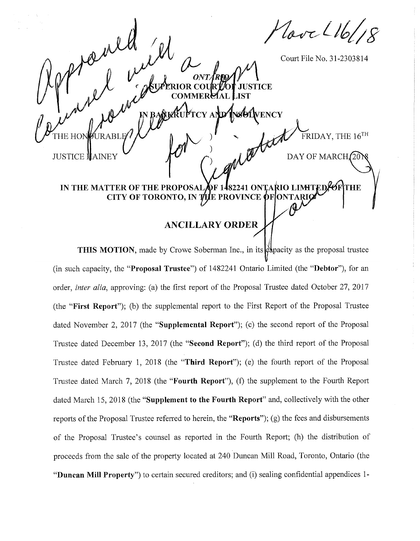Love L161

Court File No. 31-2303814

 $\mathrm{\bar{F}}\mathrm{RIDAY}, \mathrm{THE}\ 16^{\mathrm{TH}}$ 

DAY OF MARCH(20

**VENCY** 

TICE

**JUSTICE MAINEY** 

THE HON

wet

## IN THE MATTER OF THE PROPOSAL OF 1482241 ONTARIO LIN ØF\THE CITY OF TORONTO, IN THE PROVINCE OF 'ON

## **ANCILLARY ORDER**

THIS MOTION, made by Crowe Soberman Inc., in its chapacity as the proposal trustee (in such capacity, the "Proposal Trustee") of 1482241 Ontario Limited (the "Debtor"), for an order, *inter alia*, approving: (a) the first report of the Proposal Trustee dated October 27, 2017 (the "First Report"); (b) the supplemental report to the First Report of the Proposal Trustee dated November 2, 2017 (the "Supplemental Report"); (c) the second report of the Proposal Trustee dated December 13, 2017 (the "**Second Report**"); (d) the third report of the Proposal Trustee dated February 1, 2018 (the "Third Report"); (e) the fourth report of the Proposal Trustee dated March 7, 2018 (the "**Fourth Report**"), (f) the supplement to the Fourth Report dated March 15, 2018 (the "Supplement to the Fourth Report" and, collectively with the other reports of the Proposal Trustee referred to herein, the "**Reports**"); (g) the fees and disbursements of the Proposal Trustee's counsel as reported in the Fourth Report; (h) the distribution of proceeds from the sale of the property located at 240 Duncan Mill Road, Toronto, Ontario (the "Duncan Mill Property") to certain secured creditors; and (i) sealing confidential appendices 1-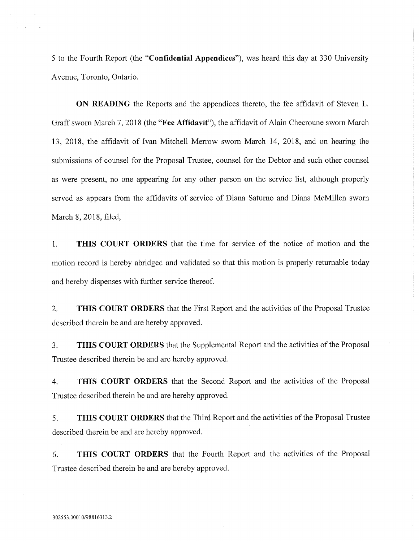**5** to the Fourth Report (the **"Confidential Appendices"),** was heard this day at **330** University Avenue, Toronto, Ontario.

**ON READING** the Reports and the appendices thereto, the fee affidavit of Steven L. Graffsworn March 7, 2018 (the **"Fee Affidavit"),** the affidavit of Alain Checroune sworn March 13, 2018, the affidavit of Ivan Mitchell Merrow sworn March 14, 2018, and on hearing the submissions of counsel for the Proposal Trustee, counsel for the Debtor and such other counsel as were present, no one appearing for any other person on the service list, although properly served as appears from the affidavits of service of Diana Saturno and Diana McMillen sworn March 8, 2018, filed,

1. **THIS COURT ORDERS** that the time for service of the notice of motion and the motion record is hereby abridged and validated so that this motion is properly returnable today and hereby dispenses with further service thereof.

2. **THIS COURT ORDERS** that the First Report and the activities of the Proposal Trustee described therein be and are hereby approved.

3. **THIS COURT ORDERS** that the Supplemental Report and the activities ofthe Proposal Trustee described therein be and are hereby approved.

4. **THIS COURT ORDERS** that the Second Report and the activities of the Proposal Trustee described therein be and are hereby approved.

**5. THIS COURT ORDERS** that the Third Report and the activities ofthe Proposal Trustee described therein be and are hereby approved.

6. **THIS COURT ORDERS** that the Fourth Report and the activities of the Proposal Trustee described therein be and are hereby approved.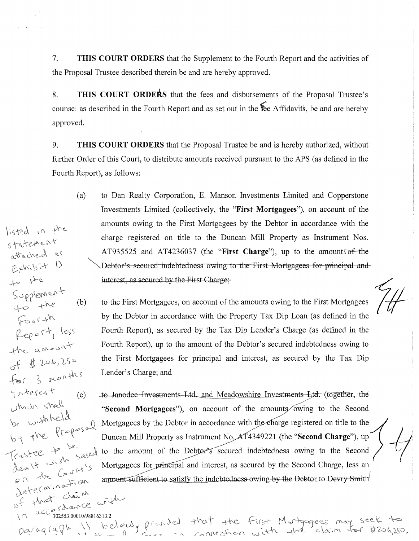7. **THIS COURT ORDERS** that the Supplement to the Fourth Report and the activities of the Proposal Trustee described therein be and are hereby approved.

8. **THIS COURT ORDERS** that the fees and disbursements of the Proposal Trustee's counsel as described in the Fourth Report and as set out in the **fee Affidavits**, be and are hereby approved.

9. **THIS COURT ORDERS** that the Proposal Trustee be and is hereby authorized, without further Order of this Court, to distribute amounts received pursuant to the APS (as defined in the Fourth Report), as follows:

(a) to Dan Realty Corporation, E. Manson Investments Limited and Copperstone Investments Limited (collectively, the **"First Mortgagees"),** on account of the amounts owing to the First Mortgagees by the Debtor in accordance with the charge registered on title to the Duncan Mill Property as Instrument Nos. AT935525 and AT4236037 (the **"First Charge"),** up to the amounts of-the Debtor's secured indebtedness owing to the First Mortgagees for principal andinterest, as secured by the First Charge;

statement<br>attached a

Exhibit

to she

listed in the

Report, less

 $\Box$ 

for 3 menths

 $(c)$ 

Supplement<br>to the

Fourth

the amoun

interest

which shall<br>be usishipedd

death wish Trustee 4

hat

 $\heartsuit$ 

on the Court's determination

ada

o -f #

(b) to the First Mortgagees, on account of the amounts owing to the First Mortgagees by the Debtor in accordance with the Property Tax Dip Loan (as defined in the Fourth Report), as secured by the Tax Dip Lender's Charge (as defined in the Fourth Report), up to the amount of the Debtor's secured indebtedness owing to the First Mortgagees for principal and interest, as secured by the Tax Dip Lender's Charge; and

To-Jantodee-Tnyestments-Ltd^ and Meadowshire.Investments Ltd. (together. the **"Second Mortgagees"**), on account of the amounts owing to the Second ^ Mortgagees by the Debtor in accordance with theXharge registered on title to the *<sup>J</sup>* Duncan Mill Property as Instrument No<sub>v</sub>AT4349221 (the "Second Charge"), up  $\left\{\begin{array}{c} 1 \text{ is the number of the } \text{Debtor's secured} \text{ indebtedness owing to the Second} \end{array}\right\}$ Mortgagees for principal and interest, as secured by the Second Charge, less an amount sufficient to satisfy the indebtedness-owing-by the Debtor to-Devry Smith

 $\alpha$   $C$  and  $\beta$ *-* A 302553.00010/98816313.2 98816313.2<br>> below, profiled that the First Mortgage ees may seek to paragraph  $\frac{1}{2}$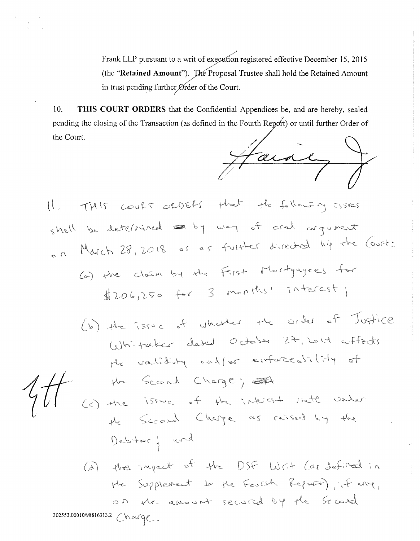Frank LLP pursuant to a writ of execution registered effective December 15, 2015 (the "Retained Amount"). The Proposal Trustee shall hold the Retained Amount in trust pending further Ørder of the Court.

10. THIS COURT ORDERS that the Confidential Appendices be, and are hereby, sealed pending the closing of the Transaction (as defined in the Fourth Report) or until further Order of the Court.

 $\rightarrow$ tain

THIS COURT ORDERS that the following issues  $\begin{pmatrix} 1 & 1 \\ 1 & 1 \end{pmatrix}$ shell be determined a by way of oral argument on March 28, 2018 or as further directed by the Court: (a) the claim by the First Mastgagees for  $$206,250$  for 3 months<sup>1</sup> interest;

(b) the issue of whether the order of Justice Whitaker dated October 27, 2014 affects He validity onless enforceability of the Scord Charge; = 1<br>(c) the issue of the interest rate under the Scrand Charge as raised by the Debtor; and (a) the inject of the DSF Writ (or defined in He Supplement to the Fourth Report), it are, on the amount secured by the Science 302553.00010/98816313.2 Charge.